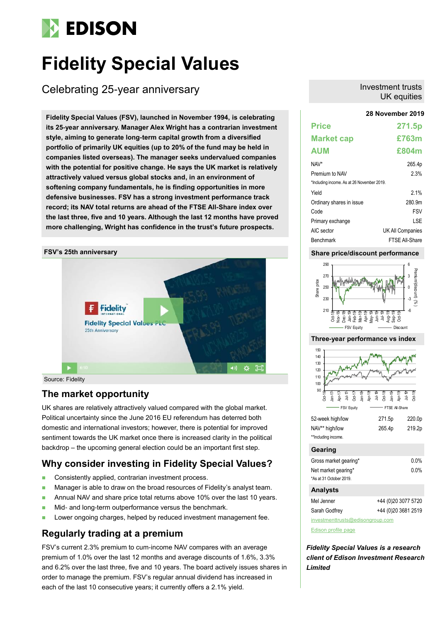# **EDISON**

# **Fidelity Special Values**

Celebrating 25-year anniversary

**28 November 2019 Fidelity Special Values (FSV), launched in November 1994, is celebrating its 25-year anniversary. Manager Alex Wright has a contrarian investment style, aiming to generate long-term capital growth from a diversified portfolio of primarily UK equities (up to 20% of the fund may be held in companies listed overseas). The manager seeks undervalued companies with the potential for positive change. He says the UK market is relatively attractively valued versus global stocks and, in an environment of softening company fundamentals, he is finding opportunities in more defensive businesses. FSV has a strong investment performance track record; its NAV total returns are ahead of the FTSE All-Share index over the last three, five and 10 years. Although the last 12 months have proved more challenging, Wright has confidence in the trust's future prospects.**



Source: Fidelity

# **The market opportunity**

UK shares are relatively attractively valued compared with the global market. Political uncertainty since the June 2016 EU referendum has deterred both domestic and international investors; however, there is potential for improved sentiment towards the UK market once there is increased clarity in the political backdrop – the upcoming general election could be an important first step.

# **Why consider investing in Fidelity Special Values?**

- Consistently applied, contrarian investment process.
- Manager is able to draw on the broad resources of Fidelity's analyst team.
- Annual NAV and share price total returns above 10% over the last 10 years.
- Mid- and long-term outperformance versus the benchmark.
- **Lower ongoing charges, helped by reduced investment management fee.**

# **Regularly trading at a premium**

FSV's current 2.3% premium to cum-income NAV compares with an average premium of 1.0% over the last 12 months and average discounts of 1.6%, 3.3% and 6.2% over the last three, five and 10 years. The board actively issues shares in order to manage the premium. FSV's regular annual dividend has increased in each of the last 10 consecutive years; it currently offers a 2.1% yield.

## Investment trusts UK equities

| <b>Price</b>                               | 271.5p                  |
|--------------------------------------------|-------------------------|
| <b>Market cap</b>                          | £763m                   |
| <b>AUM</b>                                 | £804m                   |
| NAV*                                       | 265.4p                  |
| Premium to NAV                             | 2.3%                    |
| *Including income. As at 26 November 2019. |                         |
| Yield                                      | 21%                     |
| Ordinary shares in issue                   | 280.9m                  |
| Code                                       | <b>FSV</b>              |
| Primary exchange                           | LSE                     |
| AIC sector                                 | <b>UK All Companies</b> |
| Benchmark                                  | <b>FTSE All-Share</b>   |

## **Share price/discount performance**



## **Three-year performance vs index**



[Edison profile page](https://www.edisongroup.com/company/fidelity-special-values/2822/)

*Fidelity Special Values is a research client of Edison Investment Research Limited*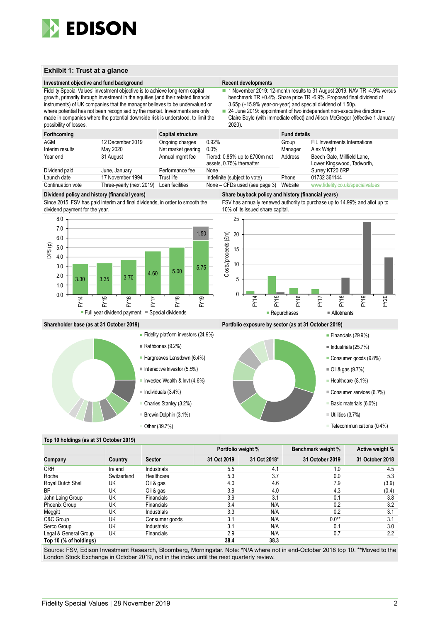

## **Exhibit 1: Trust at a glance**

## **Investment objective and fund background Recent developments Recent developments**

Fidelity Special Values' investment objective is to achieve long-term capital growth, primarily through investment in the equities (and their related financial instruments) of UK companies that the manager believes to be undervalued or where potential has not been recognised by the market. Investments are only made in companies where the potential downside risk is understood, to limit the possibility of losses.

- 1 November 2019: 12-month results to 31 August 2019. NAV TR -4.9% versus benchmark TR +0.4%. Share price TR -6.9%. Proposed final dividend of 3.65p (+15.9% year-on-year) and special dividend of 1.50p.
- 24 June 2019: appointment of two independent non-executive directors Claire Boyle (with immediate effect) and Alison McGregor (effective 1 January 2020).

| Forthcoming       |                          | <b>Capital structure</b> |                               | <b>Fund details</b> |                                  |  |
|-------------------|--------------------------|--------------------------|-------------------------------|---------------------|----------------------------------|--|
| AGM               | 12 December 2019         | Ongoing charges          | 0.92%                         | Group               | FIL Investments International    |  |
| Interim results   | May 2020                 | Net market gearing       | 0.0%                          | Manager             | Alex Wright                      |  |
| Year end          | 31 August                | Annual mgmt fee          | Tiered: 0.85% up to £700m net | Address             | Beech Gate, Millfield Lane,      |  |
|                   |                          |                          | assets, 0.75% thereafter      |                     | Lower Kingswood, Tadworth,       |  |
| Dividend paid     | June, January            | Performance fee          | None                          |                     | Surrey KT20 6RP                  |  |
| Launch date       | 17 November 1994         | Trust life               | Indefinite (subject to vote)  | Phone               | 01732 361144                     |  |
| Continuation vote | Three-yearly (next 2019) | Loan facilities          | None – CFDs used (see page 3) | Website             | www.fidelity.co.uk/specialvalues |  |

## **Dividend policy and history (financial years) Share buyback policy and history (financial years)**

Since 2015, FSV has paid interim and final dividends, in order to smooth the dividend payment for the year.



FSV has annually renewed authority to purchase up to 14.99% and allot up to 10% of its issued share capital.



## **Shareholder base (as at 31 October 2019) Portfolio exposure by sector (as at 31 October 2019)**



- Hargreaves Lansdown (6.4%)
- $\blacksquare$  Interactive Investor (5.5%)
- Investec Wealth & Invt  $(4.6\%)$
- 
- Brewin Dolphin (3.1%)

Other (39.7%)



## **Top 10 holdings (as at 31 October 2019)**

| . .                    |             |                   |             |                    |                 |                  |  |
|------------------------|-------------|-------------------|-------------|--------------------|-----------------|------------------|--|
|                        |             |                   |             | Portfolio weight % |                 | Active weight %  |  |
| Company                | Country     | <b>Sector</b>     | 31 Oct 2019 | 31 Oct 2018*       | 31 October 2019 | 31 October 2018  |  |
| <b>CRH</b>             | Ireland     | Industrials       | 5.5         | 4.1                | 1.0             | 4.5              |  |
| Roche                  | Switzerland | Healthcare        | 5.3         | 3.7                | 0.0             | 5.3              |  |
| Royal Dutch Shell      | UK          | Oil & gas         | 4.0         | 4.6                | 7.9             | (3.9)            |  |
| <b>BP</b>              | UK          | Oil & gas         | 3.9         | 4.0                | 4.3             | (0.4)            |  |
| John Laing Group       | UK          | <b>Financials</b> | 3.9         | 3.1                | 0.1             | 3.8              |  |
| Phoenix Group          | UK          | <b>Financials</b> | 3.4         | N/A                | 0.2             | 3.2              |  |
| Meggitt                | UK          | Industrials       | 3.3         | N/A                | 0.2             | 3.1              |  |
| C&C Group              | UK          | Consumer goods    | 3.1         | N/A                | $0.0**$         | 3.1              |  |
| Serco Group            | UK          | Industrials       | 3.1         | N/A                | 0.1             | 3.0              |  |
| Legal & General Group  | UK          | Financials        | 2.9         | N/A                | 0.7             | $2.2\phantom{0}$ |  |
| Top 10 (% of holdings) |             |                   | 38.4        | 38.3               |                 |                  |  |

Source: FSV, Edison Investment Research, Bloomberg, Morningstar. Note: \*N/A where not in end-October 2018 top 10. \*\*Moved to the London Stock Exchange in October 2019, not in the index until the next quarterly review.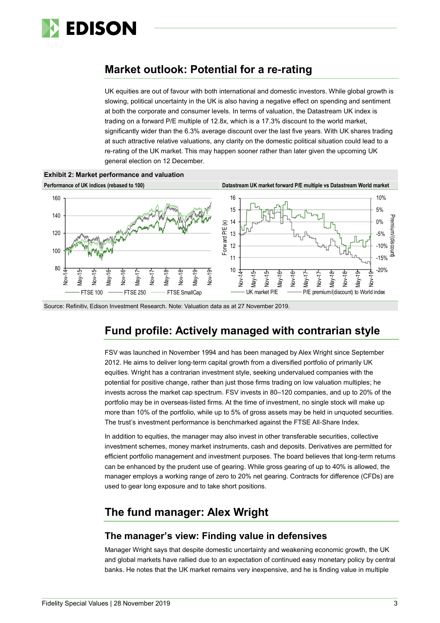

# **Market outlook: Potential for a re-rating**

UK equities are out of favour with both international and domestic investors. While global growth is slowing, political uncertainty in the UK is also having a negative effect on spending and sentiment at both the corporate and consumer levels. In terms of valuation, the Datastream UK index is trading on a forward P/E multiple of 12.8x, which is a 17.3% discount to the world market, significantly wider than the 6.3% average discount over the last five years. With UK shares trading at such attractive relative valuations, any clarity on the domestic political situation could lead to a re-rating of the UK market. This may happen sooner rather than later given the upcoming UK general election on 12 December.



Source: Refinitiv, Edison Investment Research. Note: Valuation data as at 27 November 2019.

# **Fund profile: Actively managed with contrarian style**

FSV was launched in November 1994 and has been managed by Alex Wright since September 2012. He aims to deliver long-term capital growth from a diversified portfolio of primarily UK equities. Wright has a contrarian investment style, seeking undervalued companies with the potential for positive change, rather than just those firms trading on low valuation multiples; he invests across the market cap spectrum. FSV invests in 80–120 companies, and up to 20% of the portfolio may be in overseas-listed firms. At the time of investment, no single stock will make up more than 10% of the portfolio, while up to 5% of gross assets may be held in unquoted securities. The trust's investment performance is benchmarked against the FTSE All-Share Index.

In addition to equities, the manager may also invest in other transferable securities, collective investment schemes, money market instruments, cash and deposits. Derivatives are permitted for efficient portfolio management and investment purposes. The board believes that long-term returns can be enhanced by the prudent use of gearing. While gross gearing of up to 40% is allowed, the manager employs a working range of zero to 20% net gearing. Contracts for difference (CFDs) are used to gear long exposure and to take short positions.

# **The fund manager: Alex Wright**

## **The manager's view: Finding value in defensives**

Manager Wright says that despite domestic uncertainty and weakening economic growth, the UK and global markets have rallied due to an expectation of continued easy monetary policy by central banks. He notes that the UK market remains very inexpensive, and he is finding value in multiple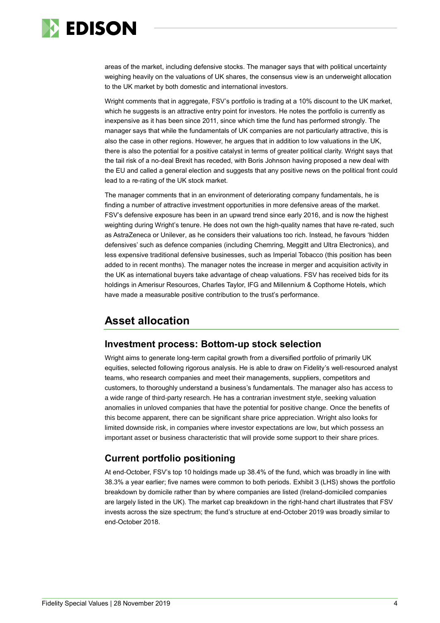

areas of the market, including defensive stocks. The manager says that with political uncertainty weighing heavily on the valuations of UK shares, the consensus view is an underweight allocation to the UK market by both domestic and international investors.

Wright comments that in aggregate, FSV's portfolio is trading at a 10% discount to the UK market, which he suggests is an attractive entry point for investors. He notes the portfolio is currently as inexpensive as it has been since 2011, since which time the fund has performed strongly. The manager says that while the fundamentals of UK companies are not particularly attractive, this is also the case in other regions. However, he argues that in addition to low valuations in the UK, there is also the potential for a positive catalyst in terms of greater political clarity. Wright says that the tail risk of a no-deal Brexit has receded, with Boris Johnson having proposed a new deal with the EU and called a general election and suggests that any positive news on the political front could lead to a re-rating of the UK stock market.

The manager comments that in an environment of deteriorating company fundamentals, he is finding a number of attractive investment opportunities in more defensive areas of the market. FSV's defensive exposure has been in an upward trend since early 2016, and is now the highest weighting during Wright's tenure. He does not own the high-quality names that have re-rated, such as AstraZeneca or Unilever, as he considers their valuations too rich. Instead, he favours 'hidden defensives' such as defence companies (including Chemring, Meggitt and Ultra Electronics), and less expensive traditional defensive businesses, such as Imperial Tobacco (this position has been added to in recent months). The manager notes the increase in merger and acquisition activity in the UK as international buyers take advantage of cheap valuations. FSV has received bids for its holdings in Amerisur Resources, Charles Taylor, IFG and Millennium & Copthorne Hotels, which have made a measurable positive contribution to the trust's performance.

# **Asset allocation**

## **Investment process: Bottom-up stock selection**

Wright aims to generate long-term capital growth from a diversified portfolio of primarily UK equities, selected following rigorous analysis. He is able to draw on Fidelity's well-resourced analyst teams, who research companies and meet their managements, suppliers, competitors and customers, to thoroughly understand a business's fundamentals. The manager also has access to a wide range of third-party research. He has a contrarian investment style, seeking valuation anomalies in unloved companies that have the potential for positive change. Once the benefits of this become apparent, there can be significant share price appreciation. Wright also looks for limited downside risk, in companies where investor expectations are low, but which possess an important asset or business characteristic that will provide some support to their share prices.

## **Current portfolio positioning**

At end-October, FSV's top 10 holdings made up 38.4% of the fund, which was broadly in line with 38.3% a year earlier; five names were common to both periods. Exhibit 3 (LHS) shows the portfolio breakdown by domicile rather than by where companies are listed (Ireland-domiciled companies are largely listed in the UK). The market cap breakdown in the right-hand chart illustrates that FSV invests across the size spectrum; the fund's structure at end-October 2019 was broadly similar to end-October 2018.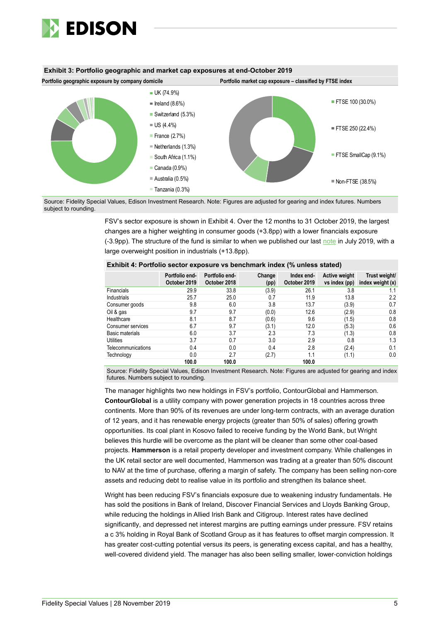

## **Exhibit 3: Portfolio geographic and market cap exposures at end-October 2019**



Source: Fidelity Special Values, Edison Investment Research. Note: Figures are adjusted for gearing and index futures. Numbers subject to rounding.

> FSV's sector exposure is shown in Exhibit 4. Over the 12 months to 31 October 2019, the largest changes are a higher weighting in consumer goods (+3.8pp) with a lower financials exposure (-3.9pp). The structure of the fund is similar to when we published our last [note](https://www.edisongroup.com/publication/outperforming-despite-a-stylistic-headwind/24667) in July 2019, with a large overweight position in industrials (+13.8pp).

## **Exhibit 4: Portfolio sector exposure vs benchmark index (% unless stated)**

|                    | Portfolio end-<br>October 2019 | Portfolio end-<br>October 2018 | Change<br>(pp) | Index end-<br>October 2019 | Active weight<br>vs index (pp) | Trust weight/<br>index weight (x) |
|--------------------|--------------------------------|--------------------------------|----------------|----------------------------|--------------------------------|-----------------------------------|
| <b>Financials</b>  | 29.9                           | 33.8                           | (3.9)          | 26.1                       | 3.8                            | 1.1                               |
| Industrials        | 25.7                           | 25.0                           | 0.7            | 11.9                       | 13.8                           | 2.2                               |
| Consumer goods     | 9.8                            | 6.0                            | 3.8            | 13.7                       | (3.9)                          | 0.7                               |
| Oil & gas          | 9.7                            | 9.7                            | (0.0)          | 12.6                       | (2.9)                          | 0.8                               |
| Healthcare         | 8.1                            | 8.7                            | (0.6)          | 9.6                        | (1.5)                          | 0.8                               |
| Consumer services  | 6.7                            | 9.7                            | (3.1)          | 12.0                       | (5.3)                          | 0.6                               |
| Basic materials    | 6.0                            | 3.7                            | 2.3            | 7.3                        | (1.3)                          | 0.8                               |
| Utilities          | 3.7                            | 0.7                            | 3.0            | 2.9                        | 0.8                            | 1.3                               |
| Telecommunications | 0.4                            | 0.0                            | 0.4            | 2.8                        | (2.4)                          | 0.1                               |
| Technology         | 0.0                            | 2.7                            | (2.7)          | 1.1                        | (1.1)                          | 0.0                               |
|                    | 100.0                          | 100.0                          |                | 100.0                      |                                |                                   |

Source: Fidelity Special Values, Edison Investment Research. Note: Figures are adjusted for gearing and index futures. Numbers subject to rounding.

The manager highlights two new holdings in FSV's portfolio, ContourGlobal and Hammerson. **ContourGlobal** is a utility company with power generation projects in 18 countries across three continents. More than 90% of its revenues are under long-term contracts, with an average duration of 12 years, and it has renewable energy projects (greater than 50% of sales) offering growth opportunities. Its coal plant in Kosovo failed to receive funding by the World Bank, but Wright believes this hurdle will be overcome as the plant will be cleaner than some other coal-based projects. **Hammerson** is a retail property developer and investment company. While challenges in the UK retail sector are well documented, Hammerson was trading at a greater than 50% discount to NAV at the time of purchase, offering a margin of safety. The company has been selling non-core assets and reducing debt to realise value in its portfolio and strengthen its balance sheet.

Wright has been reducing FSV's financials exposure due to weakening industry fundamentals. He has sold the positions in Bank of Ireland, Discover Financial Services and Lloyds Banking Group, while reducing the holdings in Allied Irish Bank and Citigroup. Interest rates have declined significantly, and depressed net interest margins are putting earnings under pressure. FSV retains a c 3% holding in Royal Bank of Scotland Group as it has features to offset margin compression. It has greater cost-cutting potential versus its peers, is generating excess capital, and has a healthy, well-covered dividend yield. The manager has also been selling smaller, lower-conviction holdings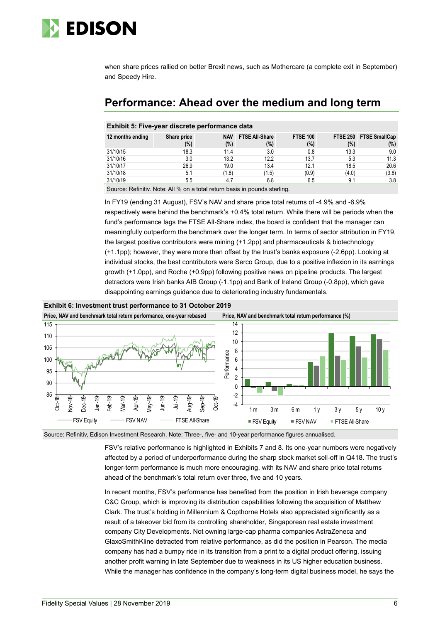

when share prices rallied on better Brexit news, such as Mothercare (a complete exit in September) and Speedy Hire.

# **Performance: Ahead over the medium and long term**

## **Exhibit 5: Five-year discrete performance data**

| 12 months ending | Share price | <b>NAV</b> | <b>FTSE All Share</b> | <b>FTSE 100</b> | <b>FTSE 250</b> | <b>FTSE SmallCap</b> |
|------------------|-------------|------------|-----------------------|-----------------|-----------------|----------------------|
|                  | (%)         | (%)        | (%)                   | $(\%)$          | (%)             | (%)                  |
| 31/10/15         | 18.3        | 11.4       | 3.0                   | 0.8             | 13.3            | 9.0                  |
| 31/10/16         | 3.0         | 13.2       | 12.2                  | 13.7            | 5.3             | 11.3                 |
| 31/10/17         | 26.9        | 19.0       | 13.4                  | 12.1            | 18.5            | 20.6                 |
| 31/10/18         | 5.1         | (1.8)      | (1.5)                 | (0.9)           | (4.0)           | (3.8)                |
| 31/10/19         | 5.5         | 4.7        | 6.8                   | 6.5             | 9.1             | 3.8                  |

Source: Refinitiv. Note: All % on a total return basis in pounds sterling.

In FY19 (ending 31 August), FSV's NAV and share price total returns of -4.9% and -6.9% respectively were behind the benchmark's +0.4% total return. While there will be periods when the fund's performance lags the FTSE All-Share index, the board is confident that the manager can meaningfully outperform the benchmark over the longer term. In terms of sector attribution in FY19, the largest positive contributors were mining (+1.2pp) and pharmaceuticals & biotechnology (+1.1pp); however, they were more than offset by the trust's banks exposure (-2.6pp). Looking at individual stocks, the best contributors were Serco Group, due to a positive inflexion in its earnings growth (+1.0pp), and Roche (+0.9pp) following positive news on pipeline products. The largest detractors were Irish banks AIB Group (-1.1pp) and Bank of Ireland Group (-0.8pp), which gave disappointing earnings guidance due to deteriorating industry fundamentals.



Source: Refinitiv, Edison Investment Research. Note: Three-, five- and 10-year performance figures annualised.

FSV's relative performance is highlighted in Exhibits 7 and 8. Its one-year numbers were negatively affected by a period of underperformance during the sharp stock market sell-off in Q418. The trust's longer-term performance is much more encouraging, with its NAV and share price total returns ahead of the benchmark's total return over three, five and 10 years.

In recent months, FSV's performance has benefited from the position in Irish beverage company C&C Group, which is improving its distribution capabilities following the acquisition of Matthew Clark. The trust's holding in Millennium & Copthorne Hotels also appreciated significantly as a result of a takeover bid from its controlling shareholder, Singaporean real estate investment company City Developments. Not owning large-cap pharma companies AstraZeneca and GlaxoSmithKline detracted from relative performance, as did the position in Pearson. The media company has had a bumpy ride in its transition from a print to a digital product offering, issuing another profit warning in late September due to weakness in its US higher education business. While the manager has confidence in the company's long-term digital business model, he says the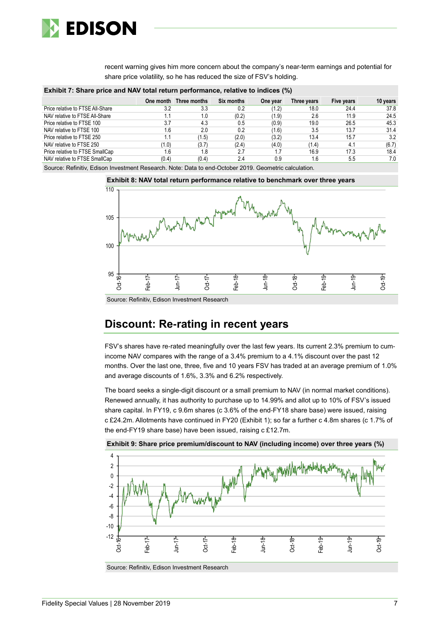

recent warning gives him more concern about the company's near-term earnings and potential for share price volatility, so he has reduced the size of FSV's holding.

**Exhibit 7: Share price and NAV total return performance, relative to indices (%)**

|                                  |       | One month Three months | <b>Six months</b> | One year | Three years | Five years | 10 years |
|----------------------------------|-------|------------------------|-------------------|----------|-------------|------------|----------|
| Price relative to FTSE All-Share | 3.2   | 3.3                    | 0.2               | (1.2)    | 18.0        | 24.4       | 37.8     |
| NAV relative to FTSE All-Share   | 1.1   | 1.0                    | (0.2)             | (1.9)    | 2.6         | 11.9       | 24.5     |
| Price relative to FTSE 100       | 3.7   | 4.3                    | 0.5               | (0.9)    | 19.0        | 26.5       | 45.3     |
| NAV relative to FTSE 100         | 1.6   | 2.0                    | 0.2               | 1.6      | 3.5         | 13.7       | 31.4     |
| Price relative to FTSE 250       | 1.1   | (1.5)                  | (2.0)             | (3.2)    | 13.4        | 15.7       | 3.2      |
| NAV relative to FTSE 250         | (1.0) | (3.7)                  | (2.4)             | (4.0)    | (1.4)       | 4.1        | (6.7)    |
| Price relative to FTSE SmallCap  | 1.6   | 1.8                    | 2.7               |          | 16.9        | 17.3       | 18.4     |
| NAV relative to FTSE SmallCap    | (0.4) | (0.4)                  | 2.4               | 0.9      | 1.6         | 5.5        | 7.0      |

Source: Refinitiv, Edison Investment Research. Note: Data to end-October 2019. Geometric calculation.





Source: Refinitiv, Edison Investment Research

# **Discount: Re-rating in recent years**

FSV's shares have re-rated meaningfully over the last few years. Its current 2.3% premium to cumincome NAV compares with the range of a 3.4% premium to a 4.1% discount over the past 12 months. Over the last one, three, five and 10 years FSV has traded at an average premium of 1.0% and average discounts of 1.6%, 3.3% and 6.2% respectively.

The board seeks a single-digit discount or a small premium to NAV (in normal market conditions). Renewed annually, it has authority to purchase up to 14.99% and allot up to 10% of FSV's issued share capital. In FY19, c 9.6m shares (c 3.6% of the end-FY18 share base) were issued, raising c £24.2m. Allotments have continued in FY20 (Exhibit 1); so far a further c 4.8m shares (c 1.7% of the end-FY19 share base) have been issued, raising c £12.7m.



**Exhibit 9: Share price premium/discount to NAV (including income) over three years (%)**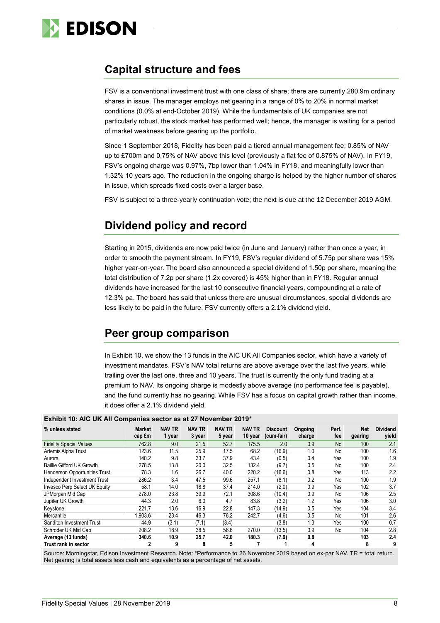

# **Capital structure and fees**

FSV is a conventional investment trust with one class of share; there are currently 280.9m ordinary shares in issue. The manager employs net gearing in a range of 0% to 20% in normal market conditions (0.0% at end-October 2019). While the fundamentals of UK companies are not particularly robust, the stock market has performed well; hence, the manager is waiting for a period of market weakness before gearing up the portfolio.

Since 1 September 2018, Fidelity has been paid a tiered annual management fee; 0.85% of NAV up to £700m and 0.75% of NAV above this level (previously a flat fee of 0.875% of NAV). In FY19, FSV's ongoing charge was 0.97%, 7bp lower than 1.04% in FY18, and meaningfully lower than 1.32% 10 years ago. The reduction in the ongoing charge is helped by the higher number of shares in issue, which spreads fixed costs over a larger base.

FSV is subject to a three-yearly continuation vote; the next is due at the 12 December 2019 AGM.

# **Dividend policy and record**

Starting in 2015, dividends are now paid twice (in June and January) rather than once a year, in order to smooth the payment stream. In FY19, FSV's regular dividend of 5.75p per share was 15% higher year-on-year. The board also announced a special dividend of 1.50p per share, meaning the total distribution of 7.2p per share (1.2x covered) is 45% higher than in FY18. Regular annual dividends have increased for the last 10 consecutive financial years, compounding at a rate of 12.3% pa. The board has said that unless there are unusual circumstances, special dividends are less likely to be paid in the future. FSV currently offers a 2.1% dividend yield.

# **Peer group comparison**

In Exhibit 10, we show the 13 funds in the AIC UK All Companies sector, which have a variety of investment mandates. FSV's NAV total returns are above average over the last five years, while trailing over the last one, three and 10 years. The trust is currently the only fund trading at a premium to NAV. Its ongoing charge is modestly above average (no performance fee is payable), and the fund currently has no gearing. While FSV has a focus on capital growth rather than income, it does offer a 2.1% dividend yield.

| <b>EXHIBIT TO: AID ON AIT COMPANIES SECTOR AS AT 27 NOVEMBER 2015</b> |                         |                         |                         |                         |                          |                               |                   |              |                       |                          |
|-----------------------------------------------------------------------|-------------------------|-------------------------|-------------------------|-------------------------|--------------------------|-------------------------------|-------------------|--------------|-----------------------|--------------------------|
| % unless stated                                                       | <b>Market</b><br>cap fm | <b>NAV TR</b><br>1 year | <b>NAV TR</b><br>3 year | <b>NAV TR</b><br>5 year | <b>NAV TR</b><br>10 year | <b>Discount</b><br>(cum-fair) | Ongoing<br>charge | Perf.<br>fee | <b>Net</b><br>gearing | <b>Dividend</b><br>yield |
| <b>Fidelity Special Values</b>                                        | 762.8                   | 9.0                     | 21.5                    | 52.7                    | 175.5                    | 2.0                           | 0.9               | No           | 100                   | 2.1                      |
| Artemis Alpha Trust                                                   | 123.6                   | 11.5                    | 25.9                    | 17.5                    | 68.2                     | (16.9)                        | 1.0               | No           | 100                   | 1.6                      |
| Aurora                                                                | 140.2                   | 9.8                     | 33.7                    | 37.9                    | 43.4                     | (0.5)                         | 0.4               | Yes          | 100                   | 1.9                      |
| <b>Baillie Gifford UK Growth</b>                                      | 278.5                   | 13.8                    | 20.0                    | 32.5                    | 132.4                    | (9.7)                         | 0.5               | No           | 100                   | 2.4                      |
| <b>Henderson Opportunities Trust</b>                                  | 78.3                    | 1.6                     | 26.7                    | 40.0                    | 220.2                    | (16.6)                        | 0.8               | Yes          | 113                   | 2.2                      |
| Independent Investment Trust                                          | 286.2                   | 3.4                     | 47.5                    | 99.6                    | 257.1                    | (8.1)                         | 0.2               | No           | 100                   | 1.9                      |
| Invesco Perp Select UK Equity                                         | 58.1                    | 14.0                    | 18.8                    | 37.4                    | 214.0                    | (2.0)                         | 0.9               | Yes          | 102                   | 3.7                      |
| JPMorgan Mid Cap                                                      | 278.0                   | 23.8                    | 39.9                    | 72.1                    | 308.6                    | (10.4)                        | 0.9               | No           | 106                   | 2.5                      |
| Jupiter UK Growth                                                     | 44.3                    | 2.0                     | 6.0                     | 4.7                     | 83.8                     | (3.2)                         | 1.2               | Yes          | 106                   | 3.0                      |
| Keystone                                                              | 221.7                   | 13.6                    | 16.9                    | 22.8                    | 147.3                    | (14.9)                        | 0.5               | Yes          | 104                   | 3.4                      |
| Mercantile                                                            | 1,903.6                 | 23.4                    | 46.3                    | 76.2                    | 242.7                    | (4.6)                         | 0.5               | No           | 101                   | 2.6                      |
| Sanditon Investment Trust                                             | 44.9                    | (3.1)                   | (7.1)                   | (3.4)                   |                          | (3.8)                         | 1.3               | Yes          | 100                   | 0.7                      |
| Schroder UK Mid Cap                                                   | 208.2                   | 18.9                    | 38.5                    | 56.6                    | 270.0                    | (13.5)                        | 0.9               | No           | 104                   | 2.8                      |
| Average (13 funds)                                                    | 340.6                   | 10.9                    | 25.7                    | 42.0                    | 180.3                    | (7.9)                         | 0.8               |              | 103                   | 2.4                      |
| Trust rank in sector                                                  | 2                       | 9                       | 8                       | 5                       |                          |                               | 4                 |              | 8                     | 9                        |

**Exhibit 10: AIC UK All Companies sector as at 27 November 2019\***

Source: Morningstar, Edison Investment Research. Note: \*Performance to 26 November 2019 based on ex-par NAV. TR = total return. Net gearing is total assets less cash and equivalents as a percentage of net assets.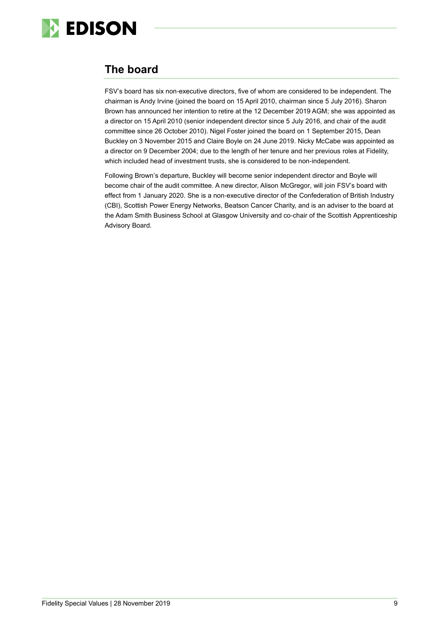

# **The board**

FSV's board has six non-executive directors, five of whom are considered to be independent. The chairman is Andy Irvine (joined the board on 15 April 2010, chairman since 5 July 2016). Sharon Brown has announced her intention to retire at the 12 December 2019 AGM; she was appointed as a director on 15 April 2010 (senior independent director since 5 July 2016, and chair of the audit committee since 26 October 2010). Nigel Foster joined the board on 1 September 2015, Dean Buckley on 3 November 2015 and Claire Boyle on 24 June 2019. Nicky McCabe was appointed as a director on 9 December 2004; due to the length of her tenure and her previous roles at Fidelity, which included head of investment trusts, she is considered to be non-independent.

Following Brown's departure, Buckley will become senior independent director and Boyle will become chair of the audit committee. A new director, Alison McGregor, will join FSV's board with effect from 1 January 2020. She is a non-executive director of the Confederation of British Industry (CBI), Scottish Power Energy Networks, Beatson Cancer Charity, and is an adviser to the board at the Adam Smith Business School at Glasgow University and co-chair of the Scottish Apprenticeship Advisory Board.